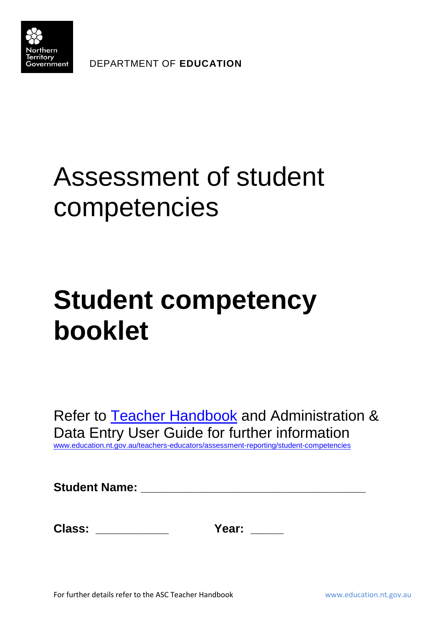

DEPARTMENT OF **EDUCATION**

## Assessment of student competencies

## **Student competency booklet**

Refer to [Teacher Handbook](http://www.education.nt.gov.au/teachers-educators/assessment-reporting/student-competencies) and Administration & Data Entry User Guide for further information [www.education.nt.gov.au/teachers-educators/assessment-reporting/student-competencies](http://www.education.nt.gov.au/teachers-educators/assessment-reporting/student-competencies)

**Student Name: \_\_\_\_\_\_\_\_\_\_\_\_\_\_\_\_\_\_\_\_\_\_\_\_\_\_\_\_\_\_\_\_\_\_**

| <b>Class:</b> |
|---------------|
|               |

**Class: \_\_\_\_\_\_\_\_\_\_\_ Year: \_\_\_\_\_**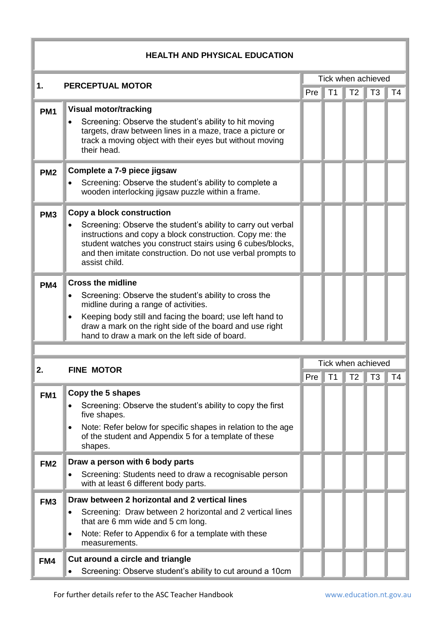| <b>HEALTH AND PHYSICAL EDUCATION</b> |                                                                                                                                                                                                                                                                                                       |                    |                |                |                |                |  |  |
|--------------------------------------|-------------------------------------------------------------------------------------------------------------------------------------------------------------------------------------------------------------------------------------------------------------------------------------------------------|--------------------|----------------|----------------|----------------|----------------|--|--|
| 1.                                   | <b>PERCEPTUAL MOTOR</b>                                                                                                                                                                                                                                                                               | Tick when achieved |                |                |                |                |  |  |
|                                      |                                                                                                                                                                                                                                                                                                       | Pre                | T1             | T <sub>2</sub> | T <sub>3</sub> | T <sub>4</sub> |  |  |
| PM <sub>1</sub>                      | <b>Visual motor/tracking</b><br>Screening: Observe the student's ability to hit moving<br>targets, draw between lines in a maze, trace a picture or<br>track a moving object with their eyes but without moving<br>their head.                                                                        |                    |                |                |                |                |  |  |
| PM <sub>2</sub>                      | Complete a 7-9 piece jigsaw<br>Screening: Observe the student's ability to complete a<br>wooden interlocking jigsaw puzzle within a frame.                                                                                                                                                            |                    |                |                |                |                |  |  |
| PM <sub>3</sub>                      | Copy a block construction<br>Screening: Observe the student's ability to carry out verbal<br>instructions and copy a block construction. Copy me: the<br>student watches you construct stairs using 6 cubes/blocks,<br>and then imitate construction. Do not use verbal prompts to<br>assist child.   |                    |                |                |                |                |  |  |
| PM4                                  | <b>Cross the midline</b><br>Screening: Observe the student's ability to cross the<br>midline during a range of activities.<br>Keeping body still and facing the board; use left hand to<br>draw a mark on the right side of the board and use right<br>hand to draw a mark on the left side of board. |                    |                |                |                |                |  |  |
|                                      |                                                                                                                                                                                                                                                                                                       | Tick when achieved |                |                |                |                |  |  |
| 2.                                   | <b>FINE MOTOR</b>                                                                                                                                                                                                                                                                                     | Pre                | T <sub>1</sub> | T <sub>2</sub> | T <sub>3</sub> | T4             |  |  |
| FM <sub>1</sub>                      | Copy the 5 shapes<br>Screening: Observe the student's ability to copy the first<br>five shapes.<br>Note: Refer below for specific shapes in relation to the age<br>of the student and Appendix 5 for a template of these<br>shapes.                                                                   |                    |                |                |                |                |  |  |
| FM <sub>2</sub>                      | Draw a person with 6 body parts<br>Screening: Students need to draw a recognisable person<br>with at least 6 different body parts.                                                                                                                                                                    |                    |                |                |                |                |  |  |
| FM <sub>3</sub>                      | Draw between 2 horizontal and 2 vertical lines<br>Screening: Draw between 2 horizontal and 2 vertical lines<br>that are 6 mm wide and 5 cm long.<br>Note: Refer to Appendix 6 for a template with these<br>measurements.                                                                              |                    |                |                |                |                |  |  |
| FM4                                  | Cut around a circle and triangle<br>Screening: Observe student's ability to cut around a 10cm                                                                                                                                                                                                         |                    |                |                |                |                |  |  |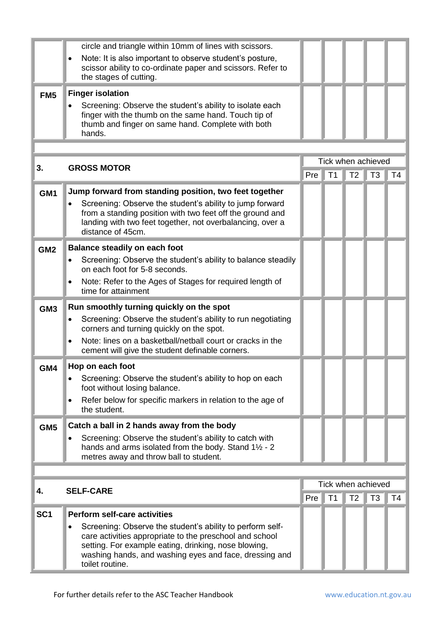|                 | circle and triangle within 10mm of lines with scissors.<br>Note: It is also important to observe student's posture,                                                                                                                                       |     |                |                |                                      |                |
|-----------------|-----------------------------------------------------------------------------------------------------------------------------------------------------------------------------------------------------------------------------------------------------------|-----|----------------|----------------|--------------------------------------|----------------|
|                 | scissor ability to co-ordinate paper and scissors. Refer to<br>the stages of cutting.                                                                                                                                                                     |     |                |                |                                      |                |
| FM <sub>5</sub> | <b>Finger isolation</b><br>Screening: Observe the student's ability to isolate each<br>finger with the thumb on the same hand. Touch tip of<br>thumb and finger on same hand. Complete with both<br>hands.                                                |     |                |                |                                      |                |
|                 |                                                                                                                                                                                                                                                           |     |                |                |                                      |                |
| 3.              | <b>GROSS MOTOR</b>                                                                                                                                                                                                                                        | Pre | T <sub>1</sub> | T <sub>2</sub> | Tick when achieved<br>T <sub>3</sub> | T <sub>4</sub> |
| GM <sub>1</sub> | Jump forward from standing position, two feet together                                                                                                                                                                                                    |     |                |                |                                      |                |
|                 | Screening: Observe the student's ability to jump forward<br>from a standing position with two feet off the ground and<br>landing with two feet together, not overbalancing, over a<br>distance of 45cm.                                                   |     |                |                |                                      |                |
| GM <sub>2</sub> | <b>Balance steadily on each foot</b>                                                                                                                                                                                                                      |     |                |                |                                      |                |
|                 | Screening: Observe the student's ability to balance steadily<br>on each foot for 5-8 seconds.                                                                                                                                                             |     |                |                |                                      |                |
|                 | Note: Refer to the Ages of Stages for required length of<br>time for attainment                                                                                                                                                                           |     |                |                |                                      |                |
| GM <sub>3</sub> | Run smoothly turning quickly on the spot                                                                                                                                                                                                                  |     |                |                |                                      |                |
|                 | Screening: Observe the student's ability to run negotiating<br>corners and turning quickly on the spot.                                                                                                                                                   |     |                |                |                                      |                |
|                 | Note: lines on a basketball/netball court or cracks in the<br>cement will give the student definable corners.                                                                                                                                             |     |                |                |                                      |                |
| GM4             | Hop on each foot                                                                                                                                                                                                                                          |     |                |                |                                      |                |
|                 | Screening: Observe the student's ability to hop on each<br>foot without losing balance.                                                                                                                                                                   |     |                |                |                                      |                |
|                 | Refer below for specific markers in relation to the age of<br>the student.                                                                                                                                                                                |     |                |                |                                      |                |
| GM <sub>5</sub> | Catch a ball in 2 hands away from the body                                                                                                                                                                                                                |     |                |                |                                      |                |
|                 | Screening: Observe the student's ability to catch with<br>hands and arms isolated from the body. Stand $1\frac{1}{2}$ - 2<br>metres away and throw ball to student.                                                                                       |     |                |                |                                      |                |
|                 |                                                                                                                                                                                                                                                           |     |                |                |                                      |                |
| 4.              | <b>SELF-CARE</b>                                                                                                                                                                                                                                          |     |                |                | Tick when achieved                   |                |
|                 |                                                                                                                                                                                                                                                           | Pre | T <sub>1</sub> | T <sub>2</sub> | T <sub>3</sub>                       | T4             |
| SC <sub>1</sub> | <b>Perform self-care activities</b>                                                                                                                                                                                                                       |     |                |                |                                      |                |
|                 | Screening: Observe the student's ability to perform self-<br>care activities appropriate to the preschool and school<br>setting. For example eating, drinking, nose blowing,<br>washing hands, and washing eyes and face, dressing and<br>toilet routine. |     |                |                |                                      |                |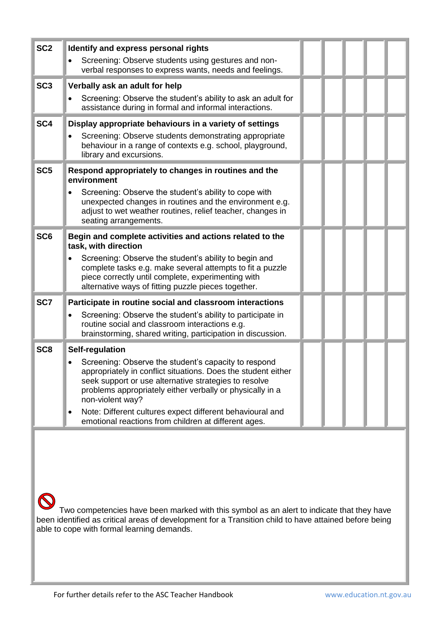| SC <sub>2</sub> | Identify and express personal rights<br>Screening: Observe students using gestures and non-<br>verbal responses to express wants, needs and feelings.                                                                                                                                                                                                                                |  |  |
|-----------------|--------------------------------------------------------------------------------------------------------------------------------------------------------------------------------------------------------------------------------------------------------------------------------------------------------------------------------------------------------------------------------------|--|--|
| SC <sub>3</sub> | Verbally ask an adult for help                                                                                                                                                                                                                                                                                                                                                       |  |  |
|                 | Screening: Observe the student's ability to ask an adult for<br>assistance during in formal and informal interactions.                                                                                                                                                                                                                                                               |  |  |
| SC <sub>4</sub> | Display appropriate behaviours in a variety of settings                                                                                                                                                                                                                                                                                                                              |  |  |
|                 | Screening: Observe students demonstrating appropriate<br>behaviour in a range of contexts e.g. school, playground,<br>library and excursions.                                                                                                                                                                                                                                        |  |  |
| SC <sub>5</sub> | Respond appropriately to changes in routines and the<br>environment                                                                                                                                                                                                                                                                                                                  |  |  |
|                 | Screening: Observe the student's ability to cope with<br>unexpected changes in routines and the environment e.g.<br>adjust to wet weather routines, relief teacher, changes in<br>seating arrangements.                                                                                                                                                                              |  |  |
| SC <sub>6</sub> | Begin and complete activities and actions related to the<br>task, with direction                                                                                                                                                                                                                                                                                                     |  |  |
|                 | Screening: Observe the student's ability to begin and<br>complete tasks e.g. make several attempts to fit a puzzle<br>piece correctly until complete, experimenting with<br>alternative ways of fitting puzzle pieces together.                                                                                                                                                      |  |  |
| SC7             | Participate in routine social and classroom interactions                                                                                                                                                                                                                                                                                                                             |  |  |
|                 | Screening: Observe the student's ability to participate in<br>routine social and classroom interactions e.g.<br>brainstorming, shared writing, participation in discussion.                                                                                                                                                                                                          |  |  |
| SC <sub>8</sub> | Self-regulation                                                                                                                                                                                                                                                                                                                                                                      |  |  |
|                 | Screening: Observe the student's capacity to respond<br>appropriately in conflict situations. Does the student either<br>seek support or use alternative strategies to resolve<br>problems appropriately either verbally or physically in a<br>non-violent way?<br>Note: Different cultures expect different behavioural and<br>emotional reactions from children at different ages. |  |  |
|                 |                                                                                                                                                                                                                                                                                                                                                                                      |  |  |
|                 |                                                                                                                                                                                                                                                                                                                                                                                      |  |  |
|                 |                                                                                                                                                                                                                                                                                                                                                                                      |  |  |

K Two competencies have been marked with this symbol as an alert to indicate that they have been identified as critical areas of development for a Transition child to have attained before being able to cope with formal learning demands.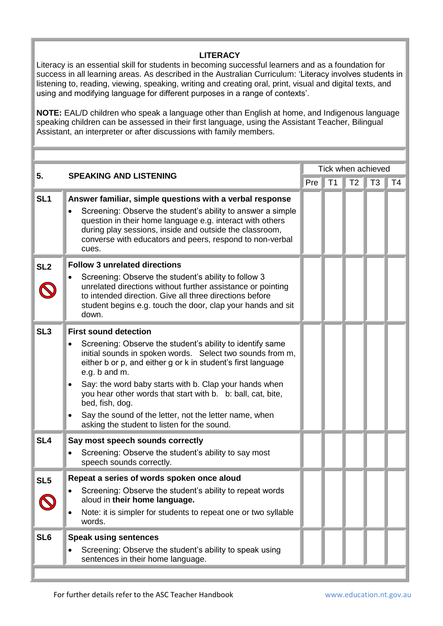## **LITERACY**

Literacy is an essential skill for students in becoming successful learners and as a foundation for success in all learning areas. As described in the Australian Curriculum: 'Literacy involves students in listening to, reading, viewing, speaking, writing and creating oral, print, visual and digital texts, and using and modifying language for different purposes in a range of contexts'.

**NOTE:** EAL/D children who speak a language other than English at home, and Indigenous language speaking children can be assessed in their first language, using the Assistant Teacher, Bilingual Assistant, an interpreter or after discussions with family members.

|                 |                                                                                                                                                                                                                                                                                                                                                     | Tick when achieved |    |                |                |    |  |  |
|-----------------|-----------------------------------------------------------------------------------------------------------------------------------------------------------------------------------------------------------------------------------------------------------------------------------------------------------------------------------------------------|--------------------|----|----------------|----------------|----|--|--|
| 5.              | <b>SPEAKING AND LISTENING</b>                                                                                                                                                                                                                                                                                                                       | Pre                | T1 | T <sub>2</sub> | T <sub>3</sub> | T4 |  |  |
| SL <sub>1</sub> | Answer familiar, simple questions with a verbal response<br>Screening: Observe the student's ability to answer a simple<br>$\bullet$<br>question in their home language e.g. interact with others<br>during play sessions, inside and outside the classroom,<br>converse with educators and peers, respond to non-verbal<br>cues.                   |                    |    |                |                |    |  |  |
| SL <sub>2</sub> | <b>Follow 3 unrelated directions</b>                                                                                                                                                                                                                                                                                                                |                    |    |                |                |    |  |  |
|                 | Screening: Observe the student's ability to follow 3<br>unrelated directions without further assistance or pointing<br>to intended direction. Give all three directions before<br>student begins e.g. touch the door, clap your hands and sit<br>down.                                                                                              |                    |    |                |                |    |  |  |
| SL <sub>3</sub> | <b>First sound detection</b>                                                                                                                                                                                                                                                                                                                        |                    |    |                |                |    |  |  |
|                 | Screening: Observe the student's ability to identify same<br>initial sounds in spoken words. Select two sounds from m,<br>either b or p, and either g or k in student's first language<br>e.g. b and m.<br>Say: the word baby starts with b. Clap your hands when<br>you hear other words that start with b. b: ball, cat, bite,<br>bed, fish, dog. |                    |    |                |                |    |  |  |
|                 | Say the sound of the letter, not the letter name, when<br>asking the student to listen for the sound.                                                                                                                                                                                                                                               |                    |    |                |                |    |  |  |
| SL <sub>4</sub> | Say most speech sounds correctly<br>Screening: Observe the student's ability to say most<br>speech sounds correctly.                                                                                                                                                                                                                                |                    |    |                |                |    |  |  |
| SL <sub>5</sub> | Repeat a series of words spoken once aloud                                                                                                                                                                                                                                                                                                          |                    |    |                |                |    |  |  |
|                 | Screening: Observe the student's ability to repeat words<br>aloud in their home language.                                                                                                                                                                                                                                                           |                    |    |                |                |    |  |  |
|                 | Note: it is simpler for students to repeat one or two syllable<br>$\bullet$<br>words.                                                                                                                                                                                                                                                               |                    |    |                |                |    |  |  |
| SL <sub>6</sub> | <b>Speak using sentences</b>                                                                                                                                                                                                                                                                                                                        |                    |    |                |                |    |  |  |
|                 | Screening: Observe the student's ability to speak using<br>sentences in their home language.                                                                                                                                                                                                                                                        |                    |    |                |                |    |  |  |
|                 |                                                                                                                                                                                                                                                                                                                                                     |                    |    |                |                |    |  |  |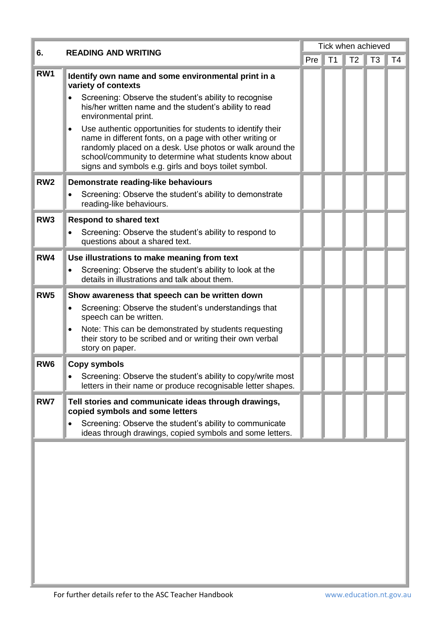| 6.              | <b>READING AND WRITING</b>                                                                                                                                                                                                                                                                           | Tick when achieved |                |                |                |    |
|-----------------|------------------------------------------------------------------------------------------------------------------------------------------------------------------------------------------------------------------------------------------------------------------------------------------------------|--------------------|----------------|----------------|----------------|----|
|                 |                                                                                                                                                                                                                                                                                                      | Pre                | T <sub>1</sub> | T <sub>2</sub> | T <sub>3</sub> | T4 |
| RW1             | Identify own name and some environmental print in a<br>variety of contexts                                                                                                                                                                                                                           |                    |                |                |                |    |
|                 | Screening: Observe the student's ability to recognise<br>his/her written name and the student's ability to read<br>environmental print.                                                                                                                                                              |                    |                |                |                |    |
|                 | Use authentic opportunities for students to identify their<br>name in different fonts, on a page with other writing or<br>randomly placed on a desk. Use photos or walk around the<br>school/community to determine what students know about<br>signs and symbols e.g. girls and boys toilet symbol. |                    |                |                |                |    |
| RW <sub>2</sub> | Demonstrate reading-like behaviours                                                                                                                                                                                                                                                                  |                    |                |                |                |    |
|                 | Screening: Observe the student's ability to demonstrate<br>reading-like behaviours.                                                                                                                                                                                                                  |                    |                |                |                |    |
| RW <sub>3</sub> | <b>Respond to shared text</b>                                                                                                                                                                                                                                                                        |                    |                |                |                |    |
|                 | Screening: Observe the student's ability to respond to<br>questions about a shared text.                                                                                                                                                                                                             |                    |                |                |                |    |
| RW4             | Use illustrations to make meaning from text                                                                                                                                                                                                                                                          |                    |                |                |                |    |
|                 | Screening: Observe the student's ability to look at the<br>details in illustrations and talk about them.                                                                                                                                                                                             |                    |                |                |                |    |
| RW <sub>5</sub> | Show awareness that speech can be written down                                                                                                                                                                                                                                                       |                    |                |                |                |    |
|                 | Screening: Observe the student's understandings that<br>speech can be written.                                                                                                                                                                                                                       |                    |                |                |                |    |
|                 | Note: This can be demonstrated by students requesting<br>their story to be scribed and or writing their own verbal<br>story on paper.                                                                                                                                                                |                    |                |                |                |    |
| RW <sub>6</sub> | <b>Copy symbols</b>                                                                                                                                                                                                                                                                                  |                    |                |                |                |    |
|                 | Screening: Observe the student's ability to copy/write most<br>letters in their name or produce recognisable letter shapes.                                                                                                                                                                          |                    |                |                |                |    |
| RW7             | Tell stories and communicate ideas through drawings,<br>copied symbols and some letters                                                                                                                                                                                                              |                    |                |                |                |    |
|                 | Screening: Observe the student's ability to communicate<br>ideas through drawings, copied symbols and some letters.                                                                                                                                                                                  |                    |                |                |                |    |
|                 |                                                                                                                                                                                                                                                                                                      |                    |                |                |                |    |
|                 |                                                                                                                                                                                                                                                                                                      |                    |                |                |                |    |
|                 |                                                                                                                                                                                                                                                                                                      |                    |                |                |                |    |
|                 |                                                                                                                                                                                                                                                                                                      |                    |                |                |                |    |
|                 |                                                                                                                                                                                                                                                                                                      |                    |                |                |                |    |
|                 |                                                                                                                                                                                                                                                                                                      |                    |                |                |                |    |
|                 |                                                                                                                                                                                                                                                                                                      |                    |                |                |                |    |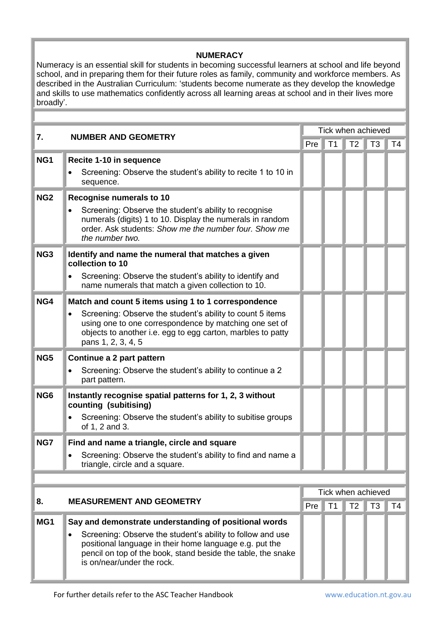## **NUMERACY**

Numeracy is an essential skill for students in becoming successful learners at school and life beyond school, and in preparing them for their future roles as family, community and workforce members. As described in the Australian Curriculum: 'students become numerate as they develop the knowledge and skills to use mathematics confidently across all learning areas at school and in their lives more broadly'.

| 7.              |                                                                                                                                                                                                                                                                              | Tick when achieved |    |                |                |                |  |
|-----------------|------------------------------------------------------------------------------------------------------------------------------------------------------------------------------------------------------------------------------------------------------------------------------|--------------------|----|----------------|----------------|----------------|--|
|                 | <b>NUMBER AND GEOMETRY</b>                                                                                                                                                                                                                                                   | Pre                |    | $T1$ T2 T3     |                | T <sub>4</sub> |  |
| NG1             | Recite 1-10 in sequence<br>Screening: Observe the student's ability to recite 1 to 10 in<br>sequence.                                                                                                                                                                        |                    |    |                |                |                |  |
| NG <sub>2</sub> | <b>Recognise numerals to 10</b><br>Screening: Observe the student's ability to recognise<br>$\bullet$<br>numerals (digits) 1 to 10. Display the numerals in random<br>order. Ask students: Show me the number four. Show me<br>the number two.                               |                    |    |                |                |                |  |
| NG <sub>3</sub> | Identify and name the numeral that matches a given<br>collection to 10<br>Screening: Observe the student's ability to identify and<br>name numerals that match a given collection to 10.                                                                                     |                    |    |                |                |                |  |
| NG4             | Match and count 5 items using 1 to 1 correspondence<br>Screening: Observe the student's ability to count 5 items<br>using one to one correspondence by matching one set of<br>objects to another i.e. egg to egg carton, marbles to patty<br>pans 1, 2, 3, 4, 5              |                    |    |                |                |                |  |
| NG5             | Continue a 2 part pattern<br>Screening: Observe the student's ability to continue a 2<br>part pattern.                                                                                                                                                                       |                    |    |                |                |                |  |
| NG <sub>6</sub> | Instantly recognise spatial patterns for 1, 2, 3 without<br>counting (subitising)<br>Screening: Observe the student's ability to subitise groups<br>of 1, 2 and 3.                                                                                                           |                    |    |                |                |                |  |
| NG7             | Find and name a triangle, circle and square<br>Screening: Observe the student's ability to find and name a<br>triangle, circle and a square.                                                                                                                                 |                    |    |                |                |                |  |
|                 |                                                                                                                                                                                                                                                                              |                    |    |                |                |                |  |
| 8.              | Tick when achieved<br><b>MEASUREMENT AND GEOMETRY</b>                                                                                                                                                                                                                        |                    |    |                |                |                |  |
|                 |                                                                                                                                                                                                                                                                              | Pre                | T1 | T <sub>2</sub> | T <sub>3</sub> | T4             |  |
| MG1             | Say and demonstrate understanding of positional words<br>Screening: Observe the student's ability to follow and use<br>positional language in their home language e.g. put the<br>pencil on top of the book, stand beside the table, the snake<br>is on/near/under the rock. |                    |    |                |                |                |  |